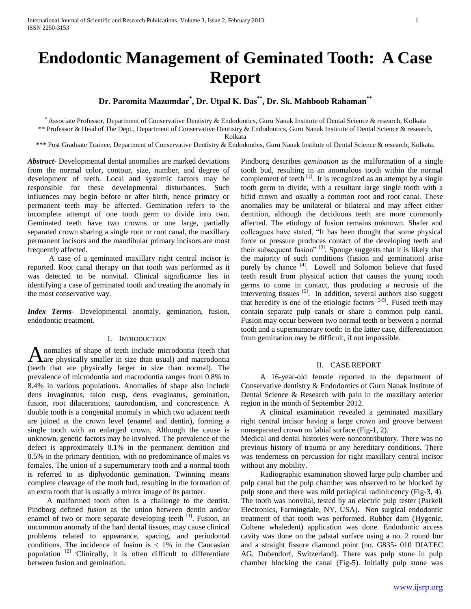# **Endodontic Management of Geminated Tooth: A Case Report**

## **Dr. Paromita Mazumdar\* , Dr. Utpal K. Das\*\* , Dr. Sk. Mahboob Rahaman\*\***

\* Associate Professor, Department of Conservative Dentistry & Endodontics, Guru Nanak Institute of Dental Science & research, Kolkata \*\* Professor & Head of The Dept., Department of Conservative Dentistry & Endodontics, Guru Nanak Institute of Dental Science & research,

Kolkata

\*\*\* Post Graduate Trainee, Department of Conservative Dentistry & Endodontics, Guru Nanak Institute of Dental Science & research, Kolkata.

*Abstract***-** Developmental dental anomalies are marked deviations from the normal color, contour, size, number, and degree of development of teeth. Local and systemic factors may be responsible for these developmental disturbances. Such influences may begin before or after birth, hence primary or permanent teeth may be affected. Gemination refers to the incomplete attempt of one tooth germ to divide into two. Geminated teeth have two crowns or one large, partially separated crown sharing a single root or root canal, the maxillary permanent incisors and the mandibular primary incisors are most frequently affected.

 A case of a geminated maxillary right central incisor is reported. Root canal therapy on that tooth was performed as it was detected to be nonvital. Clinical significance lies in identifying a case of geminated tooth and treating the anomaly in the most conservative way.

*Index Terms*- Developmental anomaly, gemination, fusion, endodontic treatment.

## I. INTRODUCTION

nomalies of shape of teeth include microdontia (teeth that Anomalies of shape of teeth include microdontia (teeth that are physically smaller in size than usual) and macrodontia (teeth that are physically larger in size than normal). The prevalence of microdontia and macrodontia ranges from 0.8% to 8.4% in various populations. Anomalies of shape also include dens invaginatus, talon cusp, dens evaginatus, gemination, fusion, root dilacerations, taurodontism, and concrescence. A double tooth is a congenital anomaly in which two adjacent teeth are joined at the crown level (enamel and dentin), forming a single tooth with an enlarged crown. Although the cause is unknown, genetic factors may be involved. The prevalence of the defect is approximately 0.1% in the permanent dentition and 0.5% in the primary dentition, with no predominance of males vs females. The union of a supernumerary tooth and a normal tooth is referred to as diphyodontic gemination. Twinning means complete cleavage of the tooth bud, resulting in the formation of an extra tooth that is usually a mirror image of its partner.

 A malformed tooth often is a challenge to the dentist. Pindborg defined *fusion* as the union between dentin and/or enamel of two or more separate developing teeth  $\left[1\right]$ . Fusion, an uncommon anomaly of the hard dental tissues, may cause clinical problems related to appearance, spacing, and periodontal conditions. The incidence of fusion is  $< 1\%$  in the Caucasian population  $[2]$  Clinically, it is often difficult to differentiate between fusion and gemination.

Pindborg describes *gemination* as the malformation of a single tooth bud, resulting in an anomalous tooth within the normal complement of teeth  $\left[1\right]$ . It is recognized as an attempt by a single tooth germ to divide, with a resultant large single tooth with a bifid crown and usually a common root and root canal. These anomalies may be unilateral or bilateral and may affect either dentition, although the deciduous teeth are more commonly affected. The etiology of fusion remains unknown. Shafer and colleagues have stated, "It has been thought that some physical force or pressure produces contact of the developing teeth and their subsequent fusion"  $^{[3]}$ . Spouge suggests that it is likely that the majority of such conditions (fusion and gemination) arise purely by chance <sup>[4]</sup>. Lowell and Solomon believe that fused teeth result from physical action that causes the young tooth germs to come in contact, thus producing a necrosis of the intervening tissues <sup>[5]</sup>. In addition, several authors also suggest that heredity is one of the etiologic factors  $[3-5]$ . Fused teeth may contain separate pulp canals or share a common pulp canal. Fusion may occur between two normal teeth or between a normal tooth and a supernumerary tooth: in the latter case, differentiation from gemination may be difficult, if not impossible.

### II. CASE REPORT

A 16-year-old female reported to the department of Conservative dentistry & Endodontics of Guru Nanak Institute of Dental Science & Research with pain in the maxillary anterior region in the month of September 2012.

A clinical examination revealed a geminated maxillary right central incisor having a large crown and groove between nonseparated crown on labial surface (Fig-1, 2).

Medical and dental histories were noncontributory. There was no previous history of trauma or any hereditary conditions. There was tenderness on percussion for right maxillary central incisor without any mobility.

Radiographic examination showed large pulp chamber and pulp canal but the pulp chamber was observed to be blocked by pulp stone and there was mild periapical radiolucency (Fig-3, 4). The tooth was nonvital, tested by an electric pulp tester (Parkell Electronics, Farmingdale, NY, USA). Non surgical endodontic treatment of that tooth was performed. Rubber dam (Hygenic, Coltene whaledent) application was done. Endodontic access cavity was done on the palatal surface using a no. 2 round bur and a straight fissure diamond point (no. G835- 010 DIATEC AG, Dubendorf, Switzerland). There was pulp stone in pulp chamber blocking the canal (Fig-5). Initially pulp stone was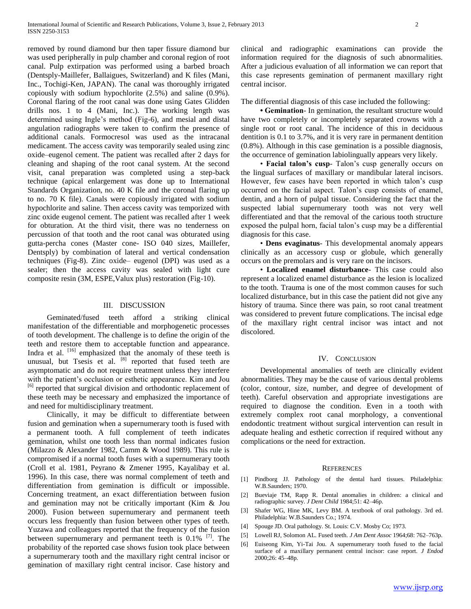removed by round diamond bur then taper fissure diamond bur was used peripherally in pulp chamber and coronal region of root canal. Pulp extirpation was performed using a barbed broach (Dentsply-Maillefer, Ballaigues, Switzerland) and K files (Mani, Inc., Tochigi-Ken, JAPAN). The canal was thoroughly irrigated copiously with sodium hypochlorite (2.5%) and saline (0.9%). Coronal flaring of the root canal was done using Gates Glidden drills nos. 1 to 4 (Mani, Inc.). The working length was determined using Ingle's method (Fig-6), and mesial and distal angulation radiographs were taken to confirm the presence of additional canals. Formocresol was used as the intracanal medicament. The access cavity was temporarily sealed using zinc oxide–eugenol cement. The patient was recalled after 2 days for cleaning and shaping of the root canal system. At the second visit, canal preparation was completed using a step-back technique (apical enlargement was done up to International Standards Organization, no. 40 K file and the coronal flaring up to no. 70 K file). Canals were copiously irrigated with sodium hypochlorite and saline. Then access cavity was temporized with zinc oxide eugenol cement. The patient was recalled after 1 week for obturation. At the third visit, there was no tenderness on percussion of that tooth and the root canal was obturated using gutta-percha cones (Master cone- ISO 040 sizes, Maillefer, Dentsply) by combination of lateral and vertical condensation techniques (Fig-8). Zinc oxide– eugenol (DPI) was used as a sealer; then the access cavity was sealed with light cure composite resin (3M, ESPE,Valux plus) restoration (Fig-10).

## III. DISCUSSION

Geminated/fused teeth afford a striking clinical manifestation of the differentiable and morphogenetic processes of tooth development. The challenge is to define the origin of the teeth and restore them to acceptable function and appearance. Indra et al.  $[16]$  emphasized that the anomaly of these teeth is unusual, but Tsesis et al.  $[8]$  reported that fused teeth are asymptomatic and do not require treatment unless they interfere with the patient's occlusion or esthetic appearance. Kim and Jou <sup>[6]</sup> reported that surgical division and orthodontic replacement of these teeth may be necessary and emphasized the importance of and need for multidisciplinary treatment.

Clinically, it may be difficult to differentiate between fusion and gemination when a supernumerary tooth is fused with a permanent tooth. A full complement of teeth indicates gemination, whilst one tooth less than normal indicates fusion (Milazzo & Alexander 1982, Camm & Wood 1989). This rule is compromised if a normal tooth fuses with a supernumerary tooth (Croll et al. 1981, Peyrano & Zmener 1995, Kayalibay et al. 1996). In this case, there was normal complement of teeth and differentiation from gemination is difficult or impossible. Concerning treatment, an exact differentiation between fusion and gemination may not be critically important (Kim & Jou 2000). Fusion between supernumerary and permanent teeth occurs less frequently than fusion between other types of teeth. Yuzawa and colleagues reported that the frequency of the fusion between supernumerary and permanent teeth is  $0.1\%$  <sup>[7]</sup>. The probability of the reported case shows fusion took place between a supernumerary tooth and the maxillary right central incisor or gemination of maxillary right central incisor. Case history and

clinical and radiographic examinations can provide the information required for the diagnosis of such abnormalities. After a judicious evaluation of all information we can report that this case represents gemination of permanent maxillary right central incisor.

The differential diagnosis of this case included the following:

 **• Gemination**- In gemination, the resultant structure would have two completely or incompletely separated crowns with a single root or root canal. The incidence of this in deciduous dentition is 0.1 to 3.7%, and it is very rare in permanent dentition (0.8%). Although in this case gemination is a possible diagnosis, the occurrence of gemination labiolingually appears very likely.

• **Facial talon's cusp**- Talon's cusp generally occurs on the lingual surfaces of maxillary or mandibular lateral incisors. However, few cases have been reported in which talon's cusp occurred on the facial aspect. Talon's cusp consists of enamel, dentin, and a horn of pulpal tissue. Considering the fact that the suspected labial supernumerary tooth was not very well differentiated and that the removal of the carious tooth structure exposed the pulpal horn, facial talon's cusp may be a differential diagnosis for this case.

• **Dens evaginatus**- This developmental anomaly appears clinically as an accessory cusp or globule, which generally occurs on the premolars and is very rare on the incisors.

• **Localized enamel disturbance**- This case could also represent a localized enamel disturbance as the lesion is localized to the tooth. Trauma is one of the most common causes for such localized disturbance, but in this case the patient did not give any history of trauma. Since there was pain, so root canal treatment was considered to prevent future complications. The incisal edge of the maxillary right central incisor was intact and not discolored.

#### IV. CONCLUSION

Developmental anomalies of teeth are clinically evident abnormalities. They may be the cause of various dental problems (color, contour, size, number, and degree of development of teeth). Careful observation and appropriate investigations are required to diagnose the condition. Even in a tooth with extremely complex root canal morphology, a conventional endodontic treatment without surgical intervention can result in adequate healing and esthetic correction if required without any complications or the need for extraction.

#### **REFERENCES**

- [1] Pindborg JJ. Pathology of the dental hard tissues. Philadelphia: W.B.Saunders; 1970.
- [2] Bueviaje TM, Rapp R. Dental anomalies in children: a clinical and radiographic survey. *J Dent Child* 1984;51: 42–46p.
- [3] Shafer WG, Hine MK, Levy BM. A textbook of oral pathology. 3rd ed. Philadelphia: W.B.Saunders Co.; 1974.
- [4] Spouge JD. Oral pathology. St. Louis: C.V. Mosby Co; 1973.
- [5] Lowell RJ, Solomon AL. Fused teeth*. J Am Dent Assoc* 1964;68: 762–763p.
- [6] Euiseong Kim, Yi-Tai Jou. A supernumerary tooth fused to the facial surface of a maxillary permanent central incisor: case report. *J Endod* 2000;26: 45–48p.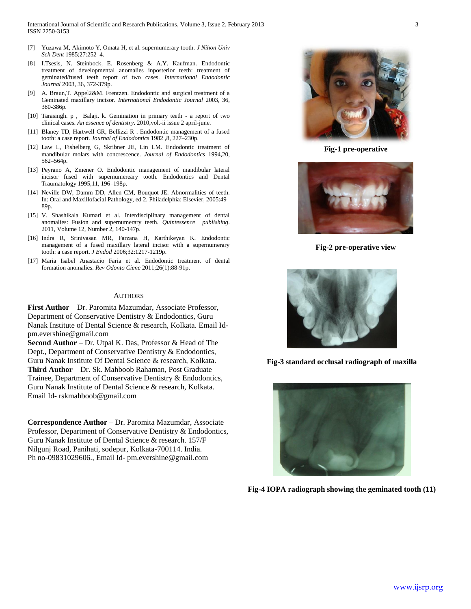- [7] Yuzawa M, Akimoto Y, Omata H, et al. supernumerary tooth. *J Nihon Univ Sch Dent* 1985;27:252–4.
- [8] I.Tsesis, N. Steinbock, E. Rosenberg & A.Y. Kaufman. Endodontic treatment of developmental anomalies inposterior teeth: treatment of geminated/fused teeth report of two cases. *International Endodontic Journal* 2003, 36, 372-379p.
- [9] A. Braun,T. Appel2&M. Frentzen. Endodontic and surgical treatment of a Geminated maxillary incisor. *International Endodontic Journal* 2003, 36, 380-386p.
- [10] Tarasingh. p , Balaji. k. Gemination in primary teeth a report of two clinical cases. *An essence of dentistry***.** 2010,vol.-ii issue 2 april-june.
- [11] Blaney TD, Hartwell GR, Bellizzi R . Endodontic management of a fused tooth: a case report. *Journal of Endodontics* 1982 ,8, 227–230p.
- [12] Law L, Fishelberg G, Skribner JE, Lin LM. Endodontic treatment of mandibular molars with concrescence. *Journal of Endodontics* 1994,20, 562–564p.
- [13] Peyrano A, Zmener O. Endodontic management of mandibular lateral incisor fused with supernumereary tooth. Endodontics and Dental Traumatology 1995,11, 196–198p.
- [14] Neville DW, Damm DD, Allen CM, Bouquot JE. Abnormalities of teeth. In: Oral and Maxillofacial Pathology, ed 2. Philadelphia: Elsevier, 2005:49– 89p.
- [15] V. Shashikala Kumari et al. Interdisciplinary management of dental anomalies: Fusion and supernumerary teeth. *Quintessence publishing*. 2011, Volume 12, Number 2, 140-147p.
- [16] Indra R, Srinivasan MR, Farzana H, Karthikeyan K. Endodontic management of a fused maxillary lateral incisor with a supernumerary tooth: a case report. *J Endod* 2006;32:1217-1219p.
- [17] Maria Isabel Anastacio Faria et al. Endodontic treatment of dental formation anomalies. *Rev Odonto Cienc* 2011;26(1):88-91p.

#### AUTHORS

**First Author** – Dr. Paromita Mazumdar, Associate Professor, Department of Conservative Dentistry & Endodontics, Guru Nanak Institute of Dental Science & research, Kolkata. Email Idpm.evershine@gmail.com

**Second Author** – Dr. Utpal K. Das, Professor & Head of The Dept., Department of Conservative Dentistry & Endodontics, Guru Nanak Institute Of Dental Science & research, Kolkata. **Third Author** – Dr. Sk. Mahboob Rahaman, Post Graduate Trainee, Department of Conservative Dentistry & Endodontics, Guru Nanak Institute of Dental Science & research, Kolkata. Email Id- rskmahboob@gmail.com

**Correspondence Author** – Dr. Paromita Mazumdar, Associate Professor, Department of Conservative Dentistry & Endodontics, Guru Nanak Institute of Dental Science & research. 157/F Nilgunj Road, Panihati, sodepur, Kolkata-700114. India. Ph no-09831029606., Email Id- pm.evershine@gmail.com



**Fig-1 pre-operative**



**Fig-2 pre-operative view**



**Fig-3 standard occlusal radiograph of maxilla**



**Fig-4 IOPA radiograph showing the geminated tooth (11)**